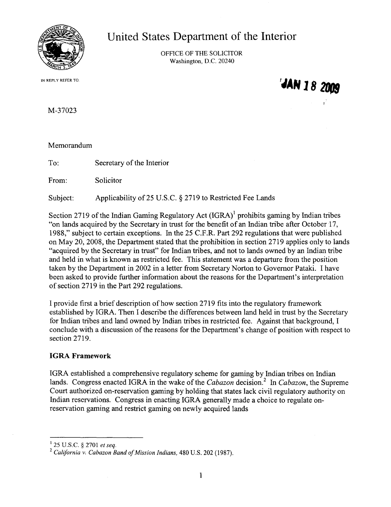

**United States Department of the Interior**

OFFICE OF THE SOLICITOR Washington, D.C. 20240

IN REPLY REFER TO:

'JAN 18 2009

M-37023

Memorandum

To: Secretary of the Interior

From: Solicitor

Subject: Applicability of 25 U.S.C. § 2719 to Restricted Fee Lands

Section 2719 of the Indian Gaming Regulatory Act  $(IGRA)^1$  prohibits gaming by Indian tribes "on lands acquired by the Secretary in trust for the benefit of an Indian tribe after October 17, 1988," subject to certain exceptions. In the 25 C.F.R. Part 292 regulations that were published on May 20,2008, the Department stated that the prohibition in section 2719 applies only to lands "acquired by the Secretary in trust" for Indian tribes, and not to lands owned by an Indian tribe and held in what is known as restricted fee. This statement was a departure from the position taken by the Department in 2002 in a letter from Secretary Norton to Governor Pataki. I have been asked to provide further information about the reasons for the Department's interpretation of section 2719 in the Part 292 regulations.

I provide first a brief description of how section 2719 fits into the regulatory framework established by IGRA. Then I describe the differences between land held in trust by the Secretary for Indian tribes and land owned by Indian tribes in restricted fee. Against that background, I conclude with a discussion of the reasons for the Department's change of position with respect to section 2719.

## **IGRA Framework**

IGRA established a comprehensive regulatory scheme for gaming by Indian tribes on Indian lands. Congress enacted IGRA in the wake of the *Cabazon* decision.<sup>2</sup> In *Cabazon*, the Supreme Court authorized on-reservation gaming by holding that states lack civil regulatory authority on Indian reservations. Congress in enacting IGRA generally made a choice to regulate onreservation gaming and restrict gaming on newly acquired lands

<sup>1</sup> 25 U.S.C. § 2701 *et seq.*

<sup>2</sup> *California v. Cabazon Band ofMission Indians,* 480 U.S. 202 (1987).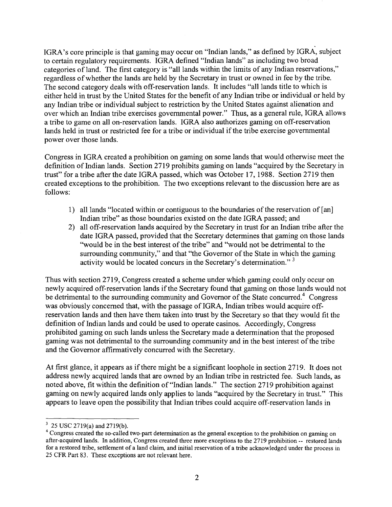IGRA's core principle is that gaming may occur on "Indian lands," as defined by IGRA, subject to certain regulatory requirements. IGRA defined "Indian lands" as including two broad categories of land. The first category is "all lands within the limits of any Indian reservations," regardless ofwhether the lands are held by the Secretary in trust or owned in fee by the tribe. The second category deals with off-reservation lands. It includes "all lands title to which is either held in trust by the United States for the benefit of any Indian tribe or individual or held by any Indian tribe or individual subject to restriction by the United States against alienation and over which an Indian tribe exercises governmental power." Thus, as a general rule, IGRA allows a tribe to game on all on-reservation lands. IGRA also authorizes gaming on off-reservation lands held in trust or restricted fee for a tribe or individual if the tribe exercise governmental power over those lands.

Congress in IGRA created a prohibition on gaming on some lands that would otherwise meet the definition of Indian lands. Section 2719 prohibits gaming on lands "acquired by the Secretary in trust" for a tribe after the date IGRA passed, which was October 17, 1988. Section 2719 then created exceptions to the prohibition. The two exceptions relevant to the discussion here are as follows:

- 1) all lands "located within or contiguous to the boundaries ofthe reservation of [an] Indian tribe" as those boundaries existed on the date IGRA passed; and
- 2) all off-reservation lands acquired by the Secretary in trust for an Indian tribe after the date IGRA passed, provided that the Secretary determines that gaming on those lands "would be in the best interest of the tribe" and "would not be detrimental to the surrounding community," and that "the Governor of the State in which the gaming activity would be located concurs in the Secretary's determination."<sup>3</sup>

Thus with section 2719, Congress created a scheme under which gaming could only occur on newly acquired off-reservation lands if the Secretary found that gaming on those lands would not be detrimental to the surrounding community and Governor of the State concurred.<sup>4</sup> Congress was obviously concerned that, with the passage of IGRA, Indian tribes would acquire offreservation lands and then have them taken into trust by the Secretary so that they would fit the definition of Indian lands and could be used to operate casinos. Accordingly, Congress prohibited gaming on such lands unless the Secretary made a determination that the proposed gaming was not detrimental to the surrounding community and in the best interest ofthe tribe and the Governor affirmatively concurred with the Secretary.

At first glance, it appears as if there might be a significant loophole in section 2719. It does not address newly acquired lands that are owned by an Indian tribe in restricted fee. Such lands, as noted above, fit within the definition of "Indian lands." The section 2719 prohibition against gaming on newly acquired lands only applies to lands "acquired by the Secretary in trust." This appears to leave open the possibility that Indian tribes could acquire off-reservation lands in

<sup>3</sup> 25 USC 2719(a) and 2719(b).

<sup>&</sup>lt;sup>4</sup> Congress created the so-called two-part determination as the general exception to the prohibition on gaming on after-acquired lands. In addition, Congress created three more exceptions to the 2719 prohibition -- restored lands for a restored tribe, settlement of a land claim, and initial reservation of a tribe acknowledged under the process in 25 CFR Part 83. These exceptions are not relevant here.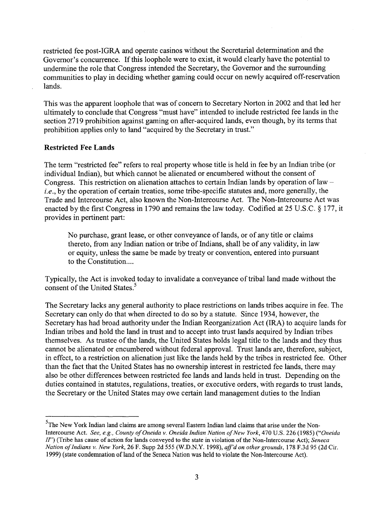restricted fee post-IGRA and operate casinos without the Secretarial determination and the Governor's concurrence. If this loophole were to exist, it would clearly have the potential to undermine the role that Congress intended the Secretary, the Governor and the surrounding communities to play in deciding whether gaming could occur on newly acquired off-reservation lands.

This was the apparent loophole that was of concern to Secretary Norton in 2002 and that led her ultimately to conclude that Congress "must have" intended to include restricted fee lands in the section 2719 prohibition against gaming on after-acquired lands, even though, by its terms that prohibition applies only to land "acquired by the Secretary in trust."

## **Restricted Fee Lands**

The term "restricted fee" refers to real property whose title is held in fee by an Indian tribe (or individual Indian), but which cannot be alienated or encumbered without the consent of Congress. This restriction on alienation attaches to certain Indian lands by operation of law  $$ *i.e.,* by the operation of certain treaties, some tribe-specific statutes and, more generally, the Trade and Intercourse Act, also known the Non-Intercourse Act. The Non-Intercourse Act was enacted by the first Congress in 1790 and remains the law today. Codified at 25 U.S.c. § 177, it provides in pertinent part:

No purchase, grant lease, or other conveyance of lands, or of any title or claims thereto, from any Indian nation or tribe of Indians, shall be of any validity, in law or equity, unless the same be made by treaty or convention, entered into pursuant to the Constitution....

Typically, the Act is invoked today to invalidate a conveyance of tribal land made without the consent of the United States.<sup>5</sup>

The Secretary lacks any general authority to place restrictions on lands tribes acquire in fee. The Secretary can only do that when directed to do so by a statute. Since 1934, however, the Secretary has had broad authority under the Indian Reorganization Act (IRA) to acquire lands for Indian tribes and hold the land in trust and to accept into trust lands acquired by Indian tribes themselves. As trustee of the lands, the United States holds legal title to the lands and they thus cannot be alienated or encumbered without federal approval. Trust lands are, therefore, subject, in effect, to a restriction on alienation just like the lands held by the tribes in restricted fee. Other than the fact that the United States has no ownership interest in restricted fee lands, there may also be other differences between restricted fee lands and lands held in trust. Depending on the duties contained in statutes, regulations, treaties, or executive orders, with regards to trust lands, the Secretary or the United States may owe certain land management duties to the Indian

<sup>&</sup>lt;sup>5</sup>The New York Indian land claims are among several Eastern Indian land claims that arise under the Non-Intercourse Act. *See, e.g., County ofOneida* v. *Oneida Indian Nation ofNew York,* 470 U.S. 226 (1985) *("Oneida IF')* (Tribe has cause of action for lands conveyed to the state in violation ofthe Non-Intercourse Act); *Seneca Nation ofIndians* v. *New York,* 26 F. Supp 2d 555 (W.D.N.Y. 1998), *aff'd on other grounds,* 178 F.3d 95 (2d Cir. 1999) (state condemnation ofland ofthe Seneca Nation was held to violate the Non-Intercourse Act).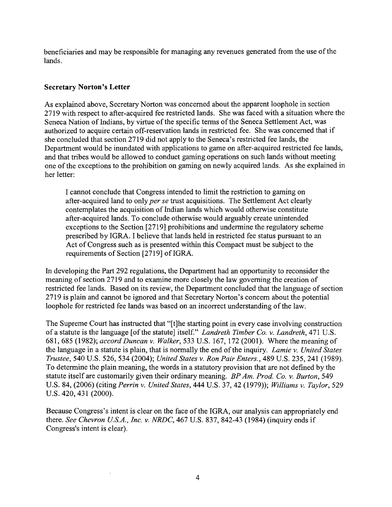beneficiaries and may be responsible for managing any revenues generated from the use of the lands.

## **Secretary Norton's Letter**

As explained above, Secretary Norton was concerned about the apparent loophole in section 2719 with respect to after-acquired fee restricted lands. She was faced with a situation where the Seneca Nation of Indians, by virtue of the specific terms of the Seneca Settlement Act, was authorized to acquire certain off-reservation lands in restricted fee. She was concerned that if she concluded that section 2719 did not apply to the Seneca's restricted fee lands, the Department would be inundated with applications to game on after-acquired restricted fee lands, and that tribes would be allowed to conduct gaming operations on such lands without meeting one ofthe exceptions to the prohibition on gaming on newly acquired lands. As she explained in her letter:

I cannot conclude that Congress intended to limit the restriction to gaming on after-acquired land to only *per se* trust acquisitions. The Settlement Act clearly contemplates the acquisition of Indian lands which would otherwise constitute after-acquired lands. To conclude otherwise would arguably create unintended exceptions to the Section [2719] prohibitions and undermine the regulatory scheme prescribed by IGRA. I believe that lands held in restricted fee status pursuant to an Act of Congress such as is presented within this Compact must be subject to the requirements of Section [2719] of IGRA.

In developing the Part 292 regulations, the Department had an opportunity to reconsider the meaning of section 2719 and to examine more closely the law governing the creation of restricted fee lands. Based on its review, the Department concluded that the language of section 2719 is plain and cannot be ignored and that Secretary Norton's concern about the potential loophole for restricted fee lands was based on an incorrect understanding of the law.

The Supreme Court has instructed that "[t]he starting point in every case involving construction ofa statute is the language [ofthe statute] itself." *Landreth Timber Co.* v. *Landreth,* 471 U.S. 681,685 (1982); *accord Duncan* v. *Walker,* 533 U.S. 167, 172 (2001). Where the meaning of the language in a statute is plain, that is normally the end of the inquiry. *Lamie v. United States Trustee,* 540 U.S. 526, 534 (2004); *United States* v. *Ron Pair Enters.,* 489 U.S. 235, 241 (1989). To determine the plain meaning, the words in a statutory provision that are not defined by the statute itself are customarily given their ordinary meaning. *BP Am. Prod. Co.* v. *Burton, 549* U.S. 84, (2006) (citing *Perrin* v. *United States,* 444 U.S. 37,42 (1979)); *Williams* v. *Taylor,* 529 U.S. 420, 431 (2000).

Because Congress's intent is clear on the face of the IGRA, our analysis can appropriately end there. *See Chevron US.A., Inc.* v. *NRDC,* 467 U.S. 837, 842-43 (1984) (inquiry ends if Congress's intent is clear).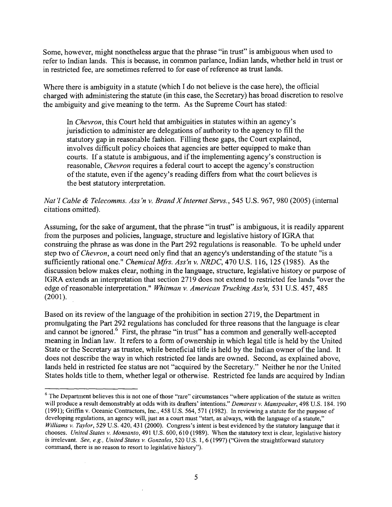Some, however, might nonetheless argue that the phrase "in trust" is ambiguous when used to refer to Indian lands. This is because, in common parlance, Indian lands, whether held in trust or in restricted fee, are sometimes referred to for ease of reference as trust lands.

Where there is ambiguity in a statute (which I do not believe is the case here), the official charged with administering the statute (in this case, the Secretary) has broad discretion to resolve the ambiguity and give meaning to the term. As the Supreme Court has stated:

In *Chevron,* this Court held that ambiguities in statutes within an agency's jurisdiction to administer are delegations of authority to the agency to fill the statutory gap in reasonable fashion. Filling these gaps, the Court explained, involves difficult policy choices that agencies are better equipped to make than courts. If a statute is ambiguous, and if the implementing agency's construction is reasonable, *Chevron* requires a federal court to accept the agency's construction of the statute, even if the agency's reading differs from what the court believes is the best statutory interpretation.

## *Nat'l Cable* & *Telecomms. Ass'n v. Brand X Internet Servs.,* 545 U.S. 967, 980 (2005) (internal citations omitted).

Assuming, for the sake of argument, that the phrase "in trust" is ambiguous, it is readily apparent from the purposes and policies, language, structure and legislative history of IGRA that construing the phrase as was done in the Part 292 regulations is reasonable. To be upheld under step two of *Chevron*, a court need only find that an agency's understanding of the statute "is a sufficiently rational one." *Chemical Mfrs. Ass'n v. NRDC,* 470 U.S. 116, 125 (1985). As the discussion below makes clear, nothing in the language, structure, legislative history or purpose of IGRA extends an interpretation that section 2719 does not extend to restricted fee lands "over the edge ofreasonable interpretation." *Whitman v. American Trucking Ass'n,* 531 U.S. 457, 485 (2001).

Based on its review of the language of the prohibition in section 2719, the Department in promulgating the Part 292 regulations has concluded for three reasons that the language is clear and cannot be ignored.<sup>6</sup> First, the phrase "in trust" has a common and generally well-accepted meaning in Indian law. It refers to a form of ownership in which legal title is held by the United State or the Secretary as trustee, while beneficial title is held by the Indian owner of the land. It does not describe the way in which restricted fee lands are owned. Second, as explained above, lands held in restricted fee status are not "acquired by the Secretary." Neither he nor the United States holds title to them, whether legal or otherwise. Restricted fee lands are acquired by Indian

 $6$  The Department believes this is not one of those "rare" circumstances "where application of the statute as written will produce a result demonstrably at odds with its drafters' intentions." *Demarest v. Manspeaker,* 498 U.S. 184. 190 (1991); Griffin v. Oceanic Contractors, Inc., 458 U.S. 564, 571 (1982). In reviewing a statute for the purpose of developing regulations, an agency will, just as a court must "start, as always, with the language of a statute," *Williams v. Taylor,* 529 U.S. 420, 431 (2000). Congress's intent is best evidenced by the statutory language that it chooses. *United States v. Monsanto,* 491 U.S. 600, 610 (1989). When the statutory text is clear, legislative history is irrelevant. *See, e.g., United States v. Gonzales,* 520 U.S. 1,6 (1997) ("Given the straightforward statutory command, there is no reason to resort to legislative history").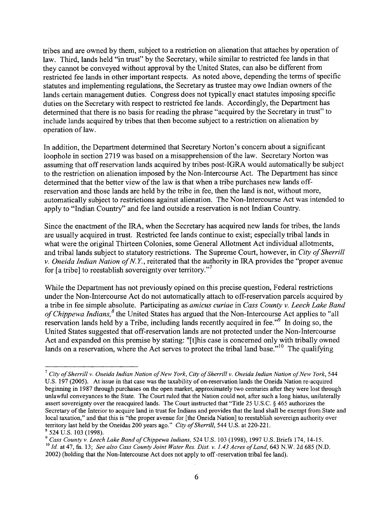tribes and are owned by them, subject to a restriction on alienation that attaches by operation of law. Third, lands held "in trust" by the Secretary, while similar to restricted fee lands in that they cannot be conveyed without approval by the United States, can also be different from restricted fee lands in other important respects. As noted above, depending the terms of specific statutes and implementing regulations, the Secretary as trustee may owe Indian owners of the lands certain management duties. Congress does not typically enact statutes imposing specific duties on the Secretary with respect to restricted fee lands. Accordingly, the Department has determined that there is no basis for reading the phrase "acquired by the Secretary in trust" to include lands acquired by tribes that then become subject to a restriction on alienation by operation of law.

In addition, the Department determined that Secretary Norton's concern about a significant loophole in section 2719 was based on a misapprehension of the law. Secretary Norton was assuming that offreservation lands acquired by tribes post-IGRA would automatically be subject to the restriction on alienation imposed by the Non-Intercourse Act. The Department has since determined that the better view of the law is that when a tribe purchases new lands offreservation and those lands are held by the tribe in fee, then the land is not, without more, automatically subject to restrictions against alienation. The Non-Intercourse Act was intended to apply to "Indian Country" and fee land outside a reservation is not Indian Country.

Since the enactment of the IRA, when the Secretary has acquired new lands for tribes, the lands are usually acquired in trust. Restricted fee lands continue to exist; especially tribal lands in what were the original Thirteen Colonies, some General Allotment Act individual allotments, and tribal lands subject to statutory restrictions. The Supreme Court, however, in *City of Sherrill v. Oneida Indian Nation ofN. Y,* reiterated that the authority in IRA provides the "proper avenue for [a tribe] to reestablish sovereignty over territory."7

While the Department has not previously opined on this precise question, Federal restrictions under the Non-Intercourse Act do not automatically attach to off-reservation parcels acquired by a tribe in fee simple absolute. Participating as *amicus curiae* in *Cass County v. Leech Lake Band of Chippewa Indians*,<sup>8</sup> the United States has argued that the Non-Intercourse Act applies to "all reservation lands held by a Tribe, including lands recently acquired in fee."<sup>9</sup> In doing so, the United States suggested that off-reservation lands are not protected under the Non-Intercourse Act and expanded on this premise by stating: "[t]his case is concerned only with tribally owned lands on a reservation, where the Act serves to protect the tribal land base.<sup> $10$ </sup> The qualifying

 $^7$  City of Sherrill v. Oneida Indian Nation of New York, City of Sherrill v. Oneida Indian Nation of New York, 544 U.S. 197 (2005). At issue in that case was the taxability of on-reservation lands the Oneida Nation re-acquired beginning in 1987 through purchases on the open market, approximately two centuries after they were lost through unlawful conveyances to the State. The Court ruled that the Nation could not, after such a long hiatus, unilaterally assert sovereignty over the reacquired lands. The Court instructed that "Title 25 U.S.c. § 465 authorizes the Secretary of the Interior to acquire land in trust for Indians and provides that the land shall be exempt from State and local taxation," and that this is "the proper avenue for [the Oneida Nation] to reestablish sovereign authority over territory last held by the Oneidas 200 years ago." *City ofSherrill,* 544 U.S. at 220-221. <sup>8</sup> 524 U.S. 103 (1998).

*<sup>9</sup> Cass County v. Leech Lake Band ofChippewa Indians,* 524 U.S. 103 (1998),1997 U.S. Briefs 174, 14-15. <sup>10</sup> *Id.* at 47, fn. 13; *See also Cass County Joint Water Res. Dist. v.* 1.43 *Acres ofLand,* 643 N.W. 2d 685 (N.D. 2002) (holding that the Non-Intercourse Act does not apply to off-reservation tribal fee land).